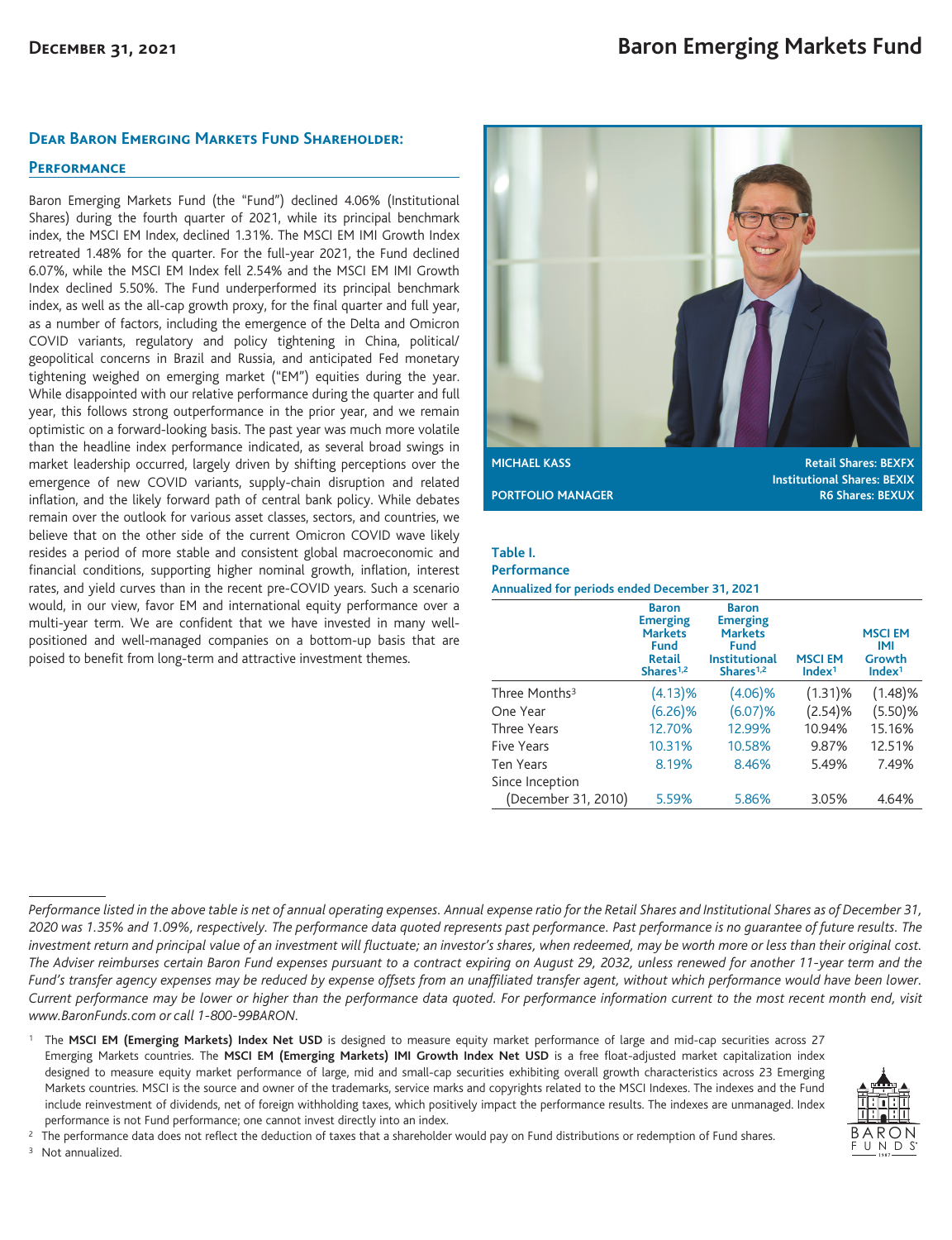### **Dear Baron Emerging Markets Fund Shareholder:**

## **Performance**

Baron Emerging Markets Fund (the "Fund") declined 4.06% (Institutional Shares) during the fourth quarter of 2021, while its principal benchmark index, the MSCI EM Index, declined 1.31%. The MSCI EM IMI Growth Index retreated 1.48% for the quarter. For the full-year 2021, the Fund declined 6.07%, while the MSCI EM Index fell 2.54% and the MSCI EM IMI Growth Index declined 5.50%. The Fund underperformed its principal benchmark index, as well as the all-cap growth proxy, for the final quarter and full year, as a number of factors, including the emergence of the Delta and Omicron COVID variants, regulatory and policy tightening in China, political/ geopolitical concerns in Brazil and Russia, and anticipated Fed monetary tightening weighed on emerging market ("EM") equities during the year. While disappointed with our relative performance during the quarter and full year, this follows strong outperformance in the prior year, and we remain optimistic on a forward-looking basis. The past year was much more volatile than the headline index performance indicated, as several broad swings in market leadership occurred, largely driven by shifting perceptions over the emergence of new COVID variants, supply-chain disruption and related inflation, and the likely forward path of central bank policy. While debates remain over the outlook for various asset classes, sectors, and countries, we believe that on the other side of the current Omicron COVID wave likely resides a period of more stable and consistent global macroeconomic and financial conditions, supporting higher nominal growth, inflation, interest rates, and yield curves than in the recent pre-COVID years. Such a scenario would, in our view, favor EM and international equity performance over a multi-year term. We are confident that we have invested in many wellpositioned and well-managed companies on a bottom-up basis that are poised to benefit from long-term and attractive investment themes.



**Institutional Shares: BEXIX PORTFOLIO MANAGER R6 Shares: BEXUX** 

### **Table I.**

#### **Performance**

**Annualized for periods ended December 31, 2021**

|                           | <b>Baron</b><br><b>Emerging</b><br><b>Markets</b><br><b>Fund</b><br>Retail<br>Shares <sup>1,2</sup> | <b>Baron</b><br><b>Emerging</b><br><b>Markets</b><br>Fund<br><b>Institutional</b><br>Shares <sup>1,2</sup> | <b>MSCIEM</b><br>Index <sup>1</sup> | <b>MSCIEM</b><br>IMI<br>Growth<br>Index <sup>1</sup> |
|---------------------------|-----------------------------------------------------------------------------------------------------|------------------------------------------------------------------------------------------------------------|-------------------------------------|------------------------------------------------------|
| Three Months <sup>3</sup> | (4.13)%                                                                                             | $(4.06)\%$                                                                                                 | $(1.31)$ %                          | (1.48)%                                              |
| One Year                  | $(6.26)\%$                                                                                          | $(6.07)\%$                                                                                                 | (2.54)%                             | (5.50)%                                              |
| Three Years               | 12.70%                                                                                              | 12.99%                                                                                                     | 10.94%                              | 15.16%                                               |
| <b>Five Years</b>         | 10.31%                                                                                              | 10.58%                                                                                                     | 9.87%                               | 12.51%                                               |
| <b>Ten Years</b>          | 8.19%                                                                                               | 8.46%                                                                                                      | 5.49%                               | 7.49%                                                |
| Since Inception           |                                                                                                     |                                                                                                            |                                     |                                                      |
| (December 31, 2010)       | 5.59%                                                                                               | 5.86%                                                                                                      | 3.05%                               | 4.64%                                                |

<sup>1</sup> The MSCI EM (Emerging Markets) Index Net USD is designed to measure equity market performance of large and mid-cap securities across 27 Emerging Markets countries. The **MSCI EM (Emerging Markets) IMI Growth Index Net USD** is a free float-adjusted market capitalization index designed to measure equity market performance of large, mid and small-cap securities exhibiting overall growth characteristics across 23 Emerging Markets countries. MSCI is the source and owner of the trademarks, service marks and copyrights related to the MSCI Indexes. The indexes and the Fund include reinvestment of dividends, net of foreign withholding taxes, which positively impact the performance results. The indexes are unmanaged. Index performance is not Fund performance; one cannot invest directly into an index.



<sup>2</sup> The performance data does not reflect the deduction of taxes that a shareholder would pay on Fund distributions or redemption of Fund shares. <sup>3</sup> Not annualized.

*Performance listed in the above table is net of annual operating expenses. Annual expense ratio for the Retail Shares and Institutional Shares as of December 31, 2020 was 1.35% and 1.09%, respectively. The performance data quoted represents past performance. Past performance is no guarantee of future results. The investment return and principal value of an investment will fluctuate; an investor's shares, when redeemed, may be worth more or less than their original cost. The Adviser reimburses certain Baron Fund expenses pursuant to a contract expiring on August 29, 2032, unless renewed for another 11-year term and the Fund's transfer agency expenses may be reduced by expense offsets from an unaffiliated transfer agent, without which performance would have been lower. Current performance may be lower or higher than the performance data quoted. For performance information current to the most recent month end, visit www.BaronFunds.com or call 1-800-99BARON.*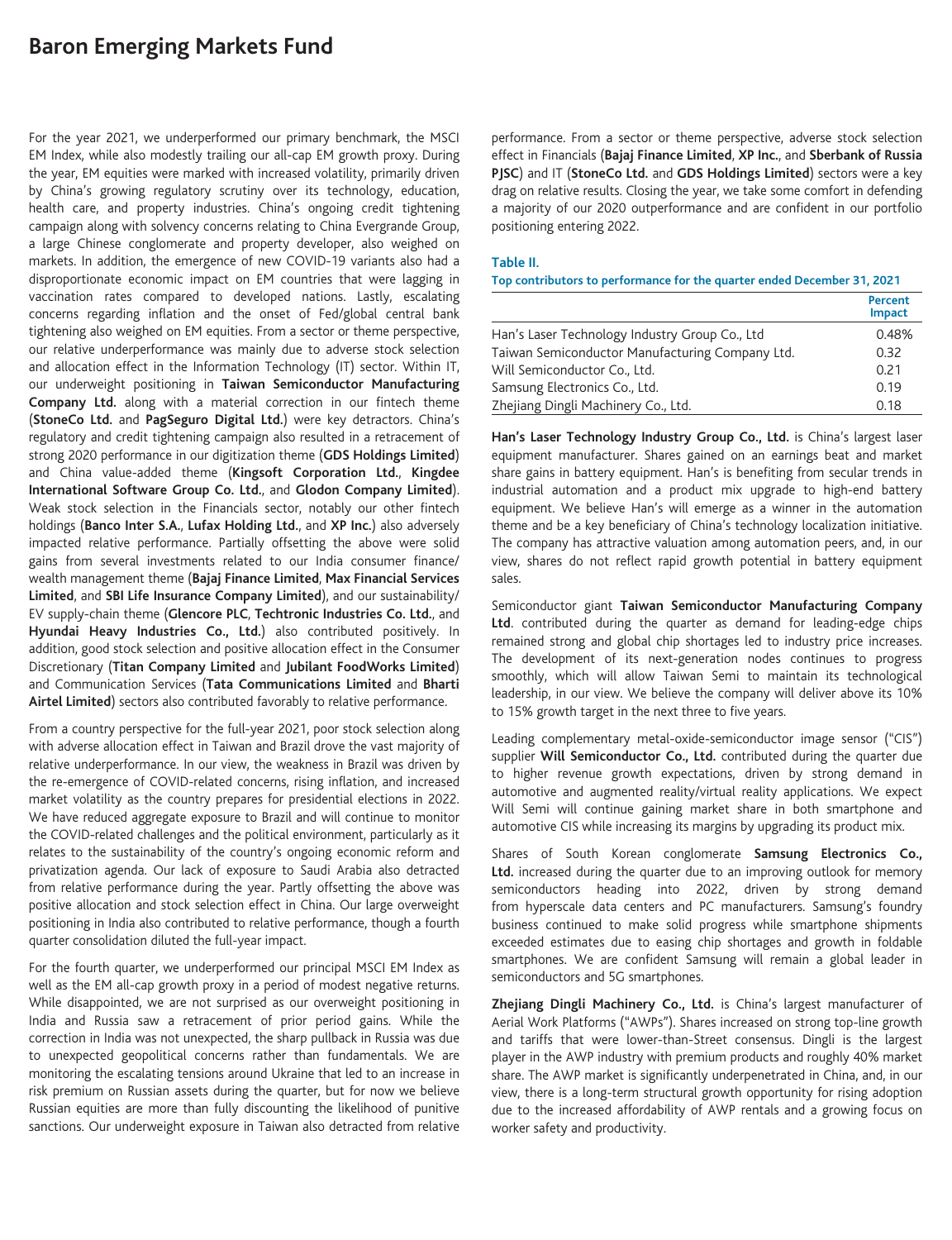## **Baron Emerging Markets Fund**

For the year 2021, we underperformed our primary benchmark, the MSCI EM Index, while also modestly trailing our all-cap EM growth proxy. During the year, EM equities were marked with increased volatility, primarily driven by China's growing regulatory scrutiny over its technology, education, health care, and property industries. China's ongoing credit tightening campaign along with solvency concerns relating to China Evergrande Group, a large Chinese conglomerate and property developer, also weighed on markets. In addition, the emergence of new COVID-19 variants also had a disproportionate economic impact on EM countries that were lagging in vaccination rates compared to developed nations. Lastly, escalating concerns regarding inflation and the onset of Fed/global central bank tightening also weighed on EM equities. From a sector or theme perspective, our relative underperformance was mainly due to adverse stock selection and allocation effect in the Information Technology (IT) sector. Within IT, our underweight positioning in **Taiwan Semiconductor Manufacturing Company Ltd.** along with a material correction in our fintech theme (**StoneCo Ltd.** and **PagSeguro Digital Ltd.**) were key detractors. China's regulatory and credit tightening campaign also resulted in a retracement of strong 2020 performance in our digitization theme (**GDS Holdings Limited**) and China value-added theme (**Kingsoft Corporation Ltd.**, **Kingdee International Software Group Co. Ltd.**, and **Glodon Company Limited**). Weak stock selection in the Financials sector, notably our other fintech holdings (**Banco Inter S.A.**, **Lufax Holding Ltd.**, and **XP Inc.**) also adversely impacted relative performance. Partially offsetting the above were solid gains from several investments related to our India consumer finance/ wealth management theme (**Bajaj Finance Limited**, **Max Financial Services Limited**, and **SBI Life Insurance Company Limited**), and our sustainability/ EV supply-chain theme (**Glencore PLC**, **Techtronic Industries Co. Ltd.**, and **Hyundai Heavy Industries Co., Ltd.**) also contributed positively. In addition, good stock selection and positive allocation effect in the Consumer Discretionary (**Titan Company Limited** and **Jubilant FoodWorks Limited**) and Communication Services (**Tata Communications Limited** and **Bharti Airtel Limited**) sectors also contributed favorably to relative performance.

From a country perspective for the full-year 2021, poor stock selection along with adverse allocation effect in Taiwan and Brazil drove the vast majority of relative underperformance. In our view, the weakness in Brazil was driven by the re-emergence of COVID-related concerns, rising inflation, and increased market volatility as the country prepares for presidential elections in 2022. We have reduced aggregate exposure to Brazil and will continue to monitor the COVID-related challenges and the political environment, particularly as it relates to the sustainability of the country's ongoing economic reform and privatization agenda. Our lack of exposure to Saudi Arabia also detracted from relative performance during the year. Partly offsetting the above was positive allocation and stock selection effect in China. Our large overweight positioning in India also contributed to relative performance, though a fourth quarter consolidation diluted the full-year impact.

For the fourth quarter, we underperformed our principal MSCI EM Index as well as the EM all-cap growth proxy in a period of modest negative returns. While disappointed, we are not surprised as our overweight positioning in India and Russia saw a retracement of prior period gains. While the correction in India was not unexpected, the sharp pullback in Russia was due to unexpected geopolitical concerns rather than fundamentals. We are monitoring the escalating tensions around Ukraine that led to an increase in risk premium on Russian assets during the quarter, but for now we believe Russian equities are more than fully discounting the likelihood of punitive sanctions. Our underweight exposure in Taiwan also detracted from relative performance. From a sector or theme perspective, adverse stock selection effect in Financials (**Bajaj Finance Limited**, **XP Inc.**, and **Sberbank of Russia PJSC**) and IT (**StoneCo Ltd.** and **GDS Holdings Limited**) sectors were a key drag on relative results. Closing the year, we take some comfort in defending a majority of our 2020 outperformance and are confident in our portfolio positioning entering 2022.

#### **Table II.**

#### **Top contributors to performance for the quarter ended December 31, 2021**

|                                                 | <b>Percent</b><br><b>Impact</b> |
|-------------------------------------------------|---------------------------------|
| Han's Laser Technology Industry Group Co., Ltd  | 0.48%                           |
| Taiwan Semiconductor Manufacturing Company Ltd. | 0.32                            |
| Will Semiconductor Co., Ltd.                    | 0.21                            |
| Samsung Electronics Co., Ltd.                   | 0.19                            |
| Zhejiang Dingli Machinery Co., Ltd.             | 0.18                            |

**Han's Laser Technology Industry Group Co., Ltd.** is China's largest laser equipment manufacturer. Shares gained on an earnings beat and market share gains in battery equipment. Han's is benefiting from secular trends in industrial automation and a product mix upgrade to high-end battery equipment. We believe Han's will emerge as a winner in the automation theme and be a key beneficiary of China's technology localization initiative. The company has attractive valuation among automation peers, and, in our view, shares do not reflect rapid growth potential in battery equipment sales.

Semiconductor giant **Taiwan Semiconductor Manufacturing Company Ltd**. contributed during the quarter as demand for leading-edge chips remained strong and global chip shortages led to industry price increases. The development of its next-generation nodes continues to progress smoothly, which will allow Taiwan Semi to maintain its technological leadership, in our view. We believe the company will deliver above its 10% to 15% growth target in the next three to five years.

Leading complementary metal-oxide-semiconductor image sensor ("CIS") supplier **Will Semiconductor Co., Ltd.** contributed during the quarter due to higher revenue growth expectations, driven by strong demand in automotive and augmented reality/virtual reality applications. We expect Will Semi will continue gaining market share in both smartphone and automotive CIS while increasing its margins by upgrading its product mix.

Shares of South Korean conglomerate **Samsung Electronics Co., Ltd.** increased during the quarter due to an improving outlook for memory semiconductors heading into 2022, driven by strong demand from hyperscale data centers and PC manufacturers. Samsung's foundry business continued to make solid progress while smartphone shipments exceeded estimates due to easing chip shortages and growth in foldable smartphones. We are confident Samsung will remain a global leader in semiconductors and 5G smartphones.

**Zhejiang Dingli Machinery Co., Ltd.** is China's largest manufacturer of Aerial Work Platforms ("AWPs"). Shares increased on strong top-line growth and tariffs that were lower-than-Street consensus. Dingli is the largest player in the AWP industry with premium products and roughly 40% market share. The AWP market is significantly underpenetrated in China, and, in our view, there is a long-term structural growth opportunity for rising adoption due to the increased affordability of AWP rentals and a growing focus on worker safety and productivity.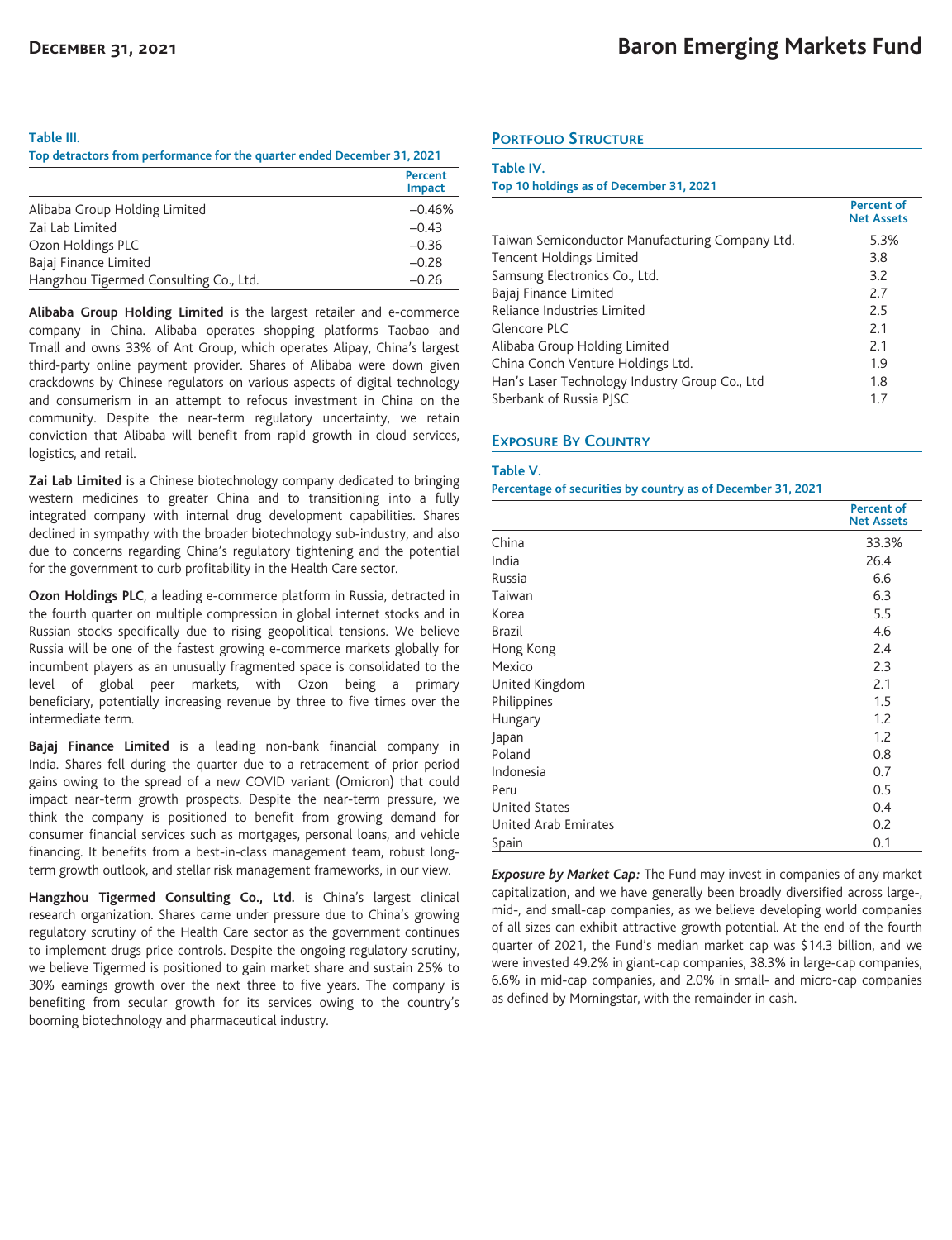#### **Table III.**

**Top detractors from performance for the quarter ended December 31, 2021**

|                                        | Percent<br><b>Impact</b> |
|----------------------------------------|--------------------------|
| Alibaba Group Holding Limited          | $-0.46%$                 |
| Zai Lab Limited                        | $-0.43$                  |
| Ozon Holdings PLC                      | $-0.36$                  |
| Bajaj Finance Limited                  | $-0.28$                  |
| Hangzhou Tigermed Consulting Co., Ltd. | $-0.26$                  |

**Alibaba Group Holding Limited** is the largest retailer and e-commerce company in China. Alibaba operates shopping platforms Taobao and Tmall and owns 33% of Ant Group, which operates Alipay, China's largest third-party online payment provider. Shares of Alibaba were down given crackdowns by Chinese regulators on various aspects of digital technology and consumerism in an attempt to refocus investment in China on the community. Despite the near-term regulatory uncertainty, we retain conviction that Alibaba will benefit from rapid growth in cloud services, logistics, and retail.

**Zai Lab Limited** is a Chinese biotechnology company dedicated to bringing western medicines to greater China and to transitioning into a fully integrated company with internal drug development capabilities. Shares declined in sympathy with the broader biotechnology sub-industry, and also due to concerns regarding China's regulatory tightening and the potential for the government to curb profitability in the Health Care sector.

**Ozon Holdings PLC**, a leading e-commerce platform in Russia, detracted in the fourth quarter on multiple compression in global internet stocks and in Russian stocks specifically due to rising geopolitical tensions. We believe Russia will be one of the fastest growing e-commerce markets globally for incumbent players as an unusually fragmented space is consolidated to the level of global peer markets, with Ozon being a primary beneficiary, potentially increasing revenue by three to five times over the intermediate term.

**Bajaj Finance Limited** is a leading non-bank financial company in India. Shares fell during the quarter due to a retracement of prior period gains owing to the spread of a new COVID variant (Omicron) that could impact near-term growth prospects. Despite the near-term pressure, we think the company is positioned to benefit from growing demand for consumer financial services such as mortgages, personal loans, and vehicle financing. It benefits from a best-in-class management team, robust longterm growth outlook, and stellar risk management frameworks, in our view.

**Hangzhou Tigermed Consulting Co., Ltd.** is China's largest clinical research organization. Shares came under pressure due to China's growing regulatory scrutiny of the Health Care sector as the government continues to implement drugs price controls. Despite the ongoing regulatory scrutiny, we believe Tigermed is positioned to gain market share and sustain 25% to 30% earnings growth over the next three to five years. The company is benefiting from secular growth for its services owing to the country's booming biotechnology and pharmaceutical industry.

## **PORTFOLIO STRUCTURE**

#### **Table IV.**

#### **Top 10 holdings as of December 31, 2021**

|                                                 | <b>Percent of</b><br><b>Net Assets</b> |
|-------------------------------------------------|----------------------------------------|
| Taiwan Semiconductor Manufacturing Company Ltd. | 5.3%                                   |
| Tencent Holdings Limited                        | 3.8                                    |
| Samsung Electronics Co., Ltd.                   | 3.2                                    |
| Bajaj Finance Limited                           | 2.7                                    |
| Reliance Industries Limited                     | 2.5                                    |
| Glencore PLC                                    | 2.1                                    |
| Alibaba Group Holding Limited                   | 2.1                                    |
| China Conch Venture Holdings Ltd.               | 1.9                                    |
| Han's Laser Technology Industry Group Co., Ltd  | 1.8                                    |
| Sberbank of Russia PISC                         | 1.7                                    |

## **EXPOSURE BY COUNTRY**

#### **Table V.**

#### **Percentage of securities by country as of December 31, 2021**

|                      | <b>Percent of</b><br><b>Net Assets</b> |
|----------------------|----------------------------------------|
| China                | 33.3%                                  |
| India                | 26.4                                   |
| Russia               | 6.6                                    |
| Taiwan               | 6.3                                    |
| Korea                | 5.5                                    |
| <b>Brazil</b>        | 4.6                                    |
| Hong Kong            | 2.4                                    |
| Mexico               | 2.3                                    |
| United Kingdom       | 2.1                                    |
| Philippines          | 1.5                                    |
| Hungary              | 1.2                                    |
| Japan                | 1.2                                    |
| Poland               | 0.8                                    |
| Indonesia            | 0.7                                    |
| Peru                 | 0.5                                    |
| <b>United States</b> | 0.4                                    |
| United Arab Emirates | 0.2                                    |
| Spain                | 0.1                                    |

*Exposure by Market Cap:* The Fund may invest in companies of any market capitalization, and we have generally been broadly diversified across large-, mid-, and small-cap companies, as we believe developing world companies of all sizes can exhibit attractive growth potential. At the end of the fourth quarter of 2021, the Fund's median market cap was \$14.3 billion, and we were invested 49.2% in giant-cap companies, 38.3% in large-cap companies, 6.6% in mid-cap companies, and 2.0% in small- and micro-cap companies as defined by Morningstar, with the remainder in cash.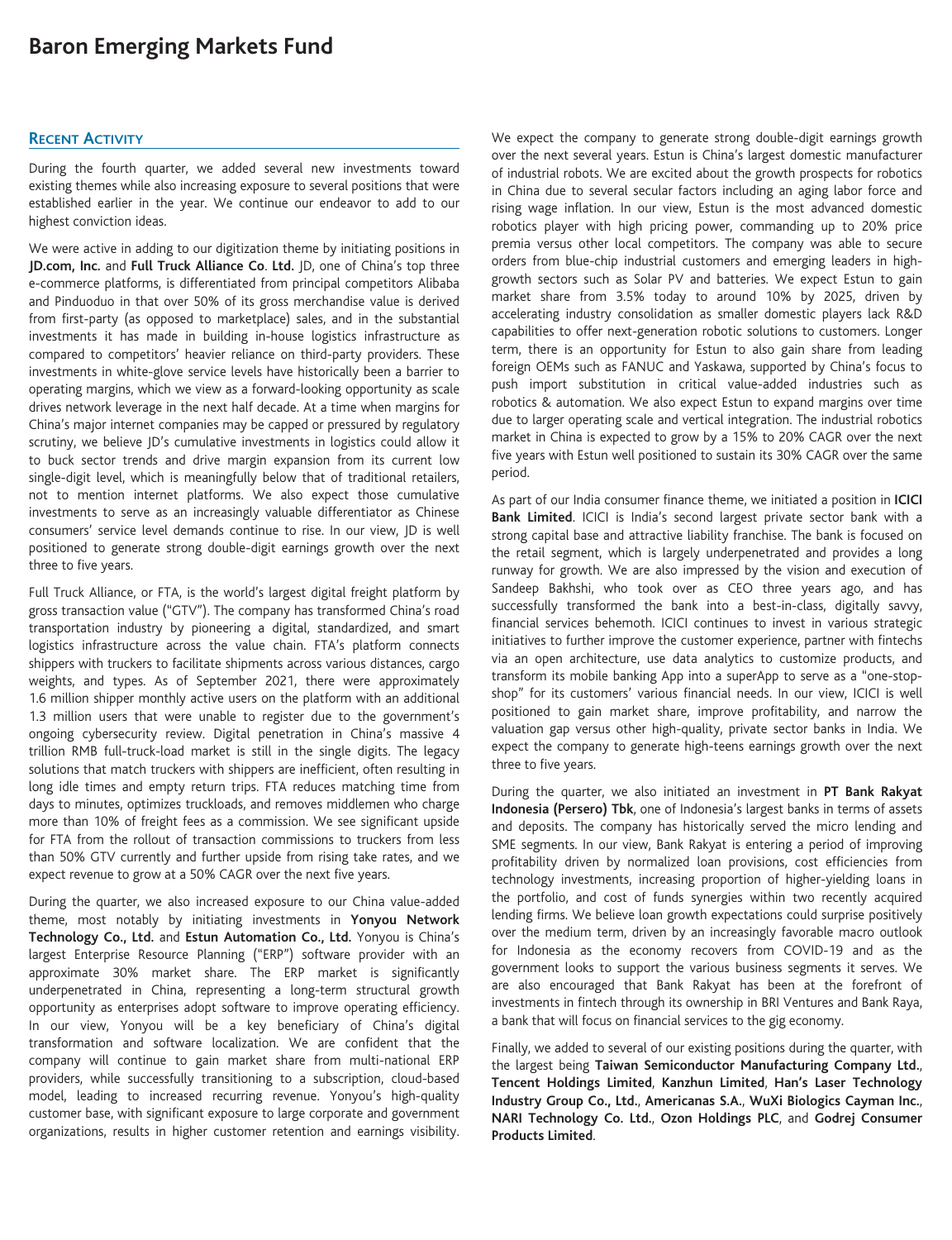# **Baron Emerging Markets Fund**

### **RECENT ACTIVITY**

During the fourth quarter, we added several new investments toward existing themes while also increasing exposure to several positions that were established earlier in the year. We continue our endeavor to add to our highest conviction ideas.

We were active in adding to our digitization theme by initiating positions in **JD.com, Inc.** and **Full Truck Alliance Co**. **Ltd.** JD, one of China's top three e-commerce platforms, is differentiated from principal competitors Alibaba and Pinduoduo in that over 50% of its gross merchandise value is derived from first-party (as opposed to marketplace) sales, and in the substantial investments it has made in building in-house logistics infrastructure as compared to competitors' heavier reliance on third-party providers. These investments in white-glove service levels have historically been a barrier to operating margins, which we view as a forward-looking opportunity as scale drives network leverage in the next half decade. At a time when margins for China's major internet companies may be capped or pressured by regulatory scrutiny, we believe JD's cumulative investments in logistics could allow it to buck sector trends and drive margin expansion from its current low single-digit level, which is meaningfully below that of traditional retailers, not to mention internet platforms. We also expect those cumulative investments to serve as an increasingly valuable differentiator as Chinese consumers' service level demands continue to rise. In our view, JD is well positioned to generate strong double-digit earnings growth over the next three to five years.

Full Truck Alliance, or FTA, is the world's largest digital freight platform by gross transaction value ("GTV"). The company has transformed China's road transportation industry by pioneering a digital, standardized, and smart logistics infrastructure across the value chain. FTA's platform connects shippers with truckers to facilitate shipments across various distances, cargo weights, and types. As of September 2021, there were approximately 1.6 million shipper monthly active users on the platform with an additional 1.3 million users that were unable to register due to the government's ongoing cybersecurity review. Digital penetration in China's massive 4 trillion RMB full-truck-load market is still in the single digits. The legacy solutions that match truckers with shippers are inefficient, often resulting in long idle times and empty return trips. FTA reduces matching time from days to minutes, optimizes truckloads, and removes middlemen who charge more than 10% of freight fees as a commission. We see significant upside for FTA from the rollout of transaction commissions to truckers from less than 50% GTV currently and further upside from rising take rates, and we expect revenue to grow at a 50% CAGR over the next five years.

During the quarter, we also increased exposure to our China value-added theme, most notably by initiating investments in **Yonyou Network Technology Co., Ltd.** and **Estun Automation Co., Ltd.** Yonyou is China's largest Enterprise Resource Planning ("ERP") software provider with an approximate 30% market share. The ERP market is significantly underpenetrated in China, representing a long-term structural growth opportunity as enterprises adopt software to improve operating efficiency. In our view, Yonyou will be a key beneficiary of China's digital transformation and software localization. We are confident that the company will continue to gain market share from multi-national ERP providers, while successfully transitioning to a subscription, cloud-based model, leading to increased recurring revenue. Yonyou's high-quality customer base, with significant exposure to large corporate and government organizations, results in higher customer retention and earnings visibility.

We expect the company to generate strong double-digit earnings growth over the next several years. Estun is China's largest domestic manufacturer of industrial robots. We are excited about the growth prospects for robotics in China due to several secular factors including an aging labor force and rising wage inflation. In our view, Estun is the most advanced domestic robotics player with high pricing power, commanding up to 20% price premia versus other local competitors. The company was able to secure orders from blue-chip industrial customers and emerging leaders in highgrowth sectors such as Solar PV and batteries. We expect Estun to gain market share from 3.5% today to around 10% by 2025, driven by accelerating industry consolidation as smaller domestic players lack R&D capabilities to offer next-generation robotic solutions to customers. Longer term, there is an opportunity for Estun to also gain share from leading foreign OEMs such as FANUC and Yaskawa, supported by China's focus to push import substitution in critical value-added industries such as robotics & automation. We also expect Estun to expand margins over time due to larger operating scale and vertical integration. The industrial robotics market in China is expected to grow by a 15% to 20% CAGR over the next five years with Estun well positioned to sustain its 30% CAGR over the same period.

As part of our India consumer finance theme, we initiated a position in **ICICI Bank Limited**. ICICI is India's second largest private sector bank with a strong capital base and attractive liability franchise. The bank is focused on the retail segment, which is largely underpenetrated and provides a long runway for growth. We are also impressed by the vision and execution of Sandeep Bakhshi, who took over as CEO three years ago, and has successfully transformed the bank into a best-in-class, digitally savvy, financial services behemoth. ICICI continues to invest in various strategic initiatives to further improve the customer experience, partner with fintechs via an open architecture, use data analytics to customize products, and transform its mobile banking App into a superApp to serve as a "one-stopshop" for its customers' various financial needs. In our view, ICICI is well positioned to gain market share, improve profitability, and narrow the valuation gap versus other high-quality, private sector banks in India. We expect the company to generate high-teens earnings growth over the next three to five years.

During the quarter, we also initiated an investment in **PT Bank Rakyat Indonesia (Persero) Tbk**, one of Indonesia's largest banks in terms of assets and deposits. The company has historically served the micro lending and SME segments. In our view, Bank Rakyat is entering a period of improving profitability driven by normalized loan provisions, cost efficiencies from technology investments, increasing proportion of higher-yielding loans in the portfolio, and cost of funds synergies within two recently acquired lending firms. We believe loan growth expectations could surprise positively over the medium term, driven by an increasingly favorable macro outlook for Indonesia as the economy recovers from COVID-19 and as the government looks to support the various business segments it serves. We are also encouraged that Bank Rakyat has been at the forefront of investments in fintech through its ownership in BRI Ventures and Bank Raya, a bank that will focus on financial services to the gig economy.

Finally, we added to several of our existing positions during the quarter, with the largest being **Taiwan Semiconductor Manufacturing Company Ltd.**, **Tencent Holdings Limited**, **Kanzhun Limited**, **Han's Laser Technology Industry Group Co., Ltd.**, **Americanas S.A.**, **WuXi Biologics Cayman Inc.**, **NARI Technology Co. Ltd.**, **Ozon Holdings PLC**, and **Godrej Consumer Products Limited**.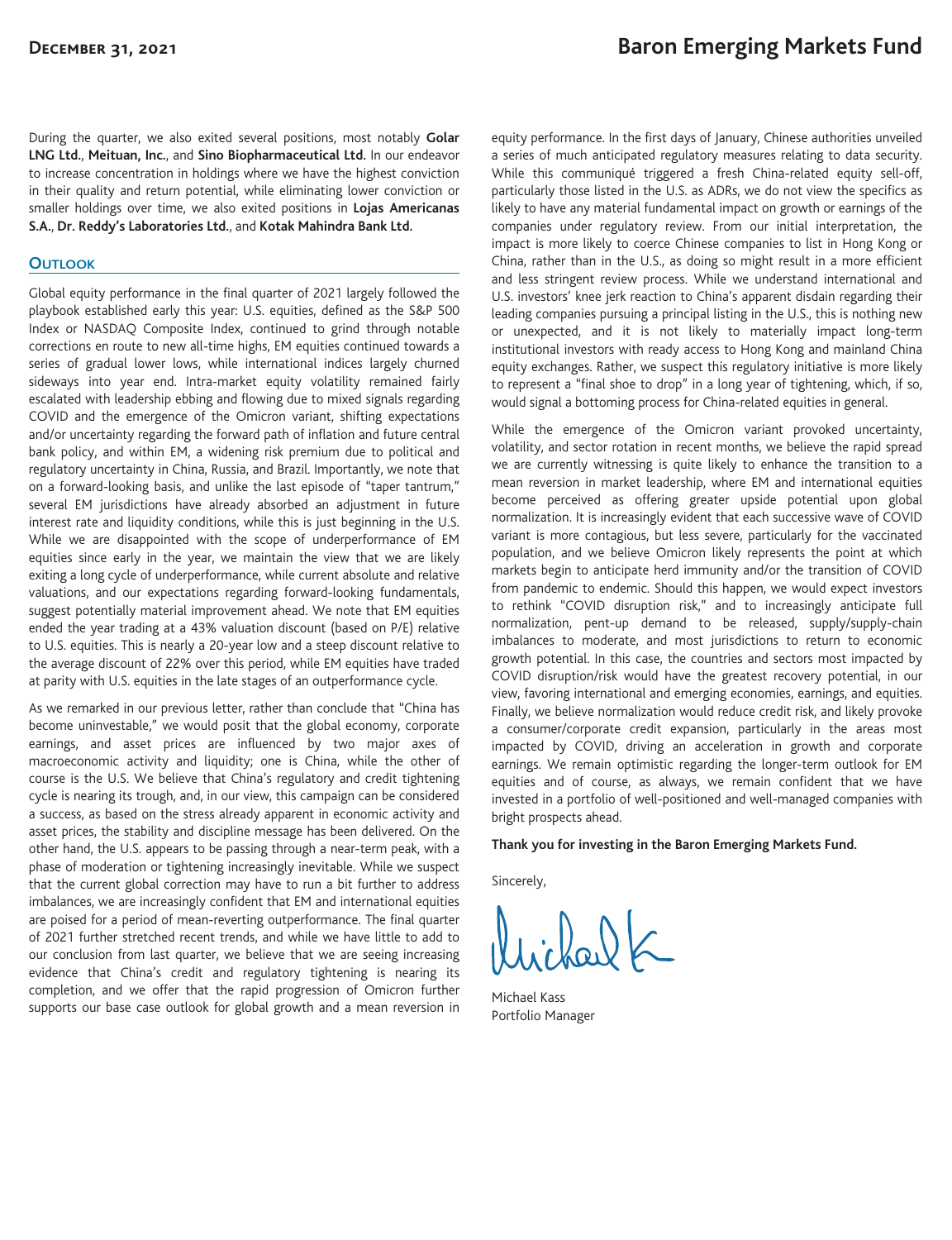During the quarter, we also exited several positions, most notably **Golar LNG Ltd.**, **Meituan, Inc.**, and **Sino Biopharmaceutical Ltd.** In our endeavor to increase concentration in holdings where we have the highest conviction in their quality and return potential, while eliminating lower conviction or smaller holdings over time, we also exited positions in **Lojas Americanas S.A.**, **Dr. Reddy's Laboratories Ltd.**, and **Kotak Mahindra Bank Ltd.**

### **OUTLOOK**

Global equity performance in the final quarter of 2021 largely followed the playbook established early this year: U.S. equities, defined as the S&P 500 Index or NASDAQ Composite Index, continued to grind through notable corrections en route to new all-time highs, EM equities continued towards a series of gradual lower lows, while international indices largely churned sideways into year end. Intra-market equity volatility remained fairly escalated with leadership ebbing and flowing due to mixed signals regarding COVID and the emergence of the Omicron variant, shifting expectations and/or uncertainty regarding the forward path of inflation and future central bank policy, and within EM, a widening risk premium due to political and regulatory uncertainty in China, Russia, and Brazil. Importantly, we note that on a forward-looking basis, and unlike the last episode of "taper tantrum," several EM jurisdictions have already absorbed an adjustment in future interest rate and liquidity conditions, while this is just beginning in the U.S. While we are disappointed with the scope of underperformance of EM equities since early in the year, we maintain the view that we are likely exiting a long cycle of underperformance, while current absolute and relative valuations, and our expectations regarding forward-looking fundamentals, suggest potentially material improvement ahead. We note that EM equities ended the year trading at a 43% valuation discount (based on P/E) relative to U.S. equities. This is nearly a 20-year low and a steep discount relative to the average discount of 22% over this period, while EM equities have traded at parity with U.S. equities in the late stages of an outperformance cycle.

As we remarked in our previous letter, rather than conclude that "China has become uninvestable," we would posit that the global economy, corporate earnings, and asset prices are influenced by two major axes of macroeconomic activity and liquidity; one is China, while the other of course is the U.S. We believe that China's regulatory and credit tightening cycle is nearing its trough, and, in our view, this campaign can be considered a success, as based on the stress already apparent in economic activity and asset prices, the stability and discipline message has been delivered. On the other hand, the U.S. appears to be passing through a near-term peak, with a phase of moderation or tightening increasingly inevitable. While we suspect that the current global correction may have to run a bit further to address imbalances, we are increasingly confident that EM and international equities are poised for a period of mean-reverting outperformance. The final quarter of 2021 further stretched recent trends, and while we have little to add to our conclusion from last quarter, we believe that we are seeing increasing evidence that China's credit and regulatory tightening is nearing its completion, and we offer that the rapid progression of Omicron further supports our base case outlook for global growth and a mean reversion in equity performance. In the first days of January, Chinese authorities unveiled a series of much anticipated regulatory measures relating to data security. While this communiqué triggered a fresh China-related equity sell-off, particularly those listed in the U.S. as ADRs, we do not view the specifics as likely to have any material fundamental impact on growth or earnings of the companies under regulatory review. From our initial interpretation, the impact is more likely to coerce Chinese companies to list in Hong Kong or China, rather than in the U.S., as doing so might result in a more efficient and less stringent review process. While we understand international and U.S. investors' knee jerk reaction to China's apparent disdain regarding their leading companies pursuing a principal listing in the U.S., this is nothing new or unexpected, and it is not likely to materially impact long-term institutional investors with ready access to Hong Kong and mainland China equity exchanges. Rather, we suspect this regulatory initiative is more likely to represent a "final shoe to drop" in a long year of tightening, which, if so, would signal a bottoming process for China-related equities in general.

While the emergence of the Omicron variant provoked uncertainty, volatility, and sector rotation in recent months, we believe the rapid spread we are currently witnessing is quite likely to enhance the transition to a mean reversion in market leadership, where EM and international equities become perceived as offering greater upside potential upon global normalization. It is increasingly evident that each successive wave of COVID variant is more contagious, but less severe, particularly for the vaccinated population, and we believe Omicron likely represents the point at which markets begin to anticipate herd immunity and/or the transition of COVID from pandemic to endemic. Should this happen, we would expect investors to rethink "COVID disruption risk," and to increasingly anticipate full normalization, pent-up demand to be released, supply/supply-chain imbalances to moderate, and most jurisdictions to return to economic growth potential. In this case, the countries and sectors most impacted by COVID disruption/risk would have the greatest recovery potential, in our view, favoring international and emerging economies, earnings, and equities. Finally, we believe normalization would reduce credit risk, and likely provoke a consumer/corporate credit expansion, particularly in the areas most impacted by COVID, driving an acceleration in growth and corporate earnings. We remain optimistic regarding the longer-term outlook for EM equities and of course, as always, we remain confident that we have invested in a portfolio of well-positioned and well-managed companies with bright prospects ahead.

#### **Thank you for investing in the Baron Emerging Markets Fund.**

Sincerely,

Michael Kass Portfolio Manager